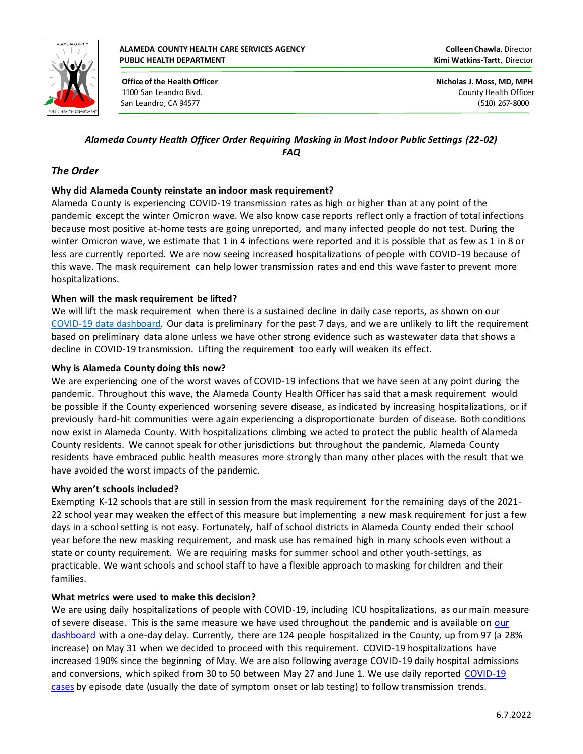

 **Office of the Health Officer Nicholas J. Moss**, **MD, MPH** 1100 San Leandro Blvd. County Health Officer San Leandro, CA 94577 (510) 267-8000

# *Alameda County Health Officer Order Requiring Masking in Most Indoor Public Settings (22-02) FAQ*

# *The Order*

## **Why did Alameda County reinstate an indoor mask requirement?**

Alameda County is experiencing COVID-19 transmission rates as high or higher than at any point of the pandemic except the winter Omicron wave. We also know case reports reflect only a fraction of total infections because most positive at-home tests are going unreported, and many infected people do not test. During the winter Omicron wave, we estimate that 1 in 4 infections were reported and it is possible that as few as 1 in 8 or less are currently reported. We are now seeing increased hospitalizations of people with COVID-19 because of this wave. The mask requirement can help lower transmission rates and end this wave faster to prevent more hospitalizations.

### **When will the mask requirement be lifted?**

We will lift the mask requirement when there is a sustained decline in daily case reports, as shown on our COVID-19 data dashboard. Our data is preliminary for the past 7 days, and we are unlikely to lift the requirement based on preliminary data alone unless we have other strong evidence such as wastewater data that shows a decline in COVID-19 transmission. Lifting the requirement too early will weaken its effect.

### **Why is Alameda County doing this now?**

We are experiencing one of the worst waves of COVID-19 infections that we have seen at any point during the pandemic. Throughout this wave, the Alameda County Health Officer has said that a mask requirement would be possible if the County experienced worsening severe disease, as indicated by increasing hospitalizations, or if previously hard-hit communities were again experiencing a disproportionate burden of disease. Both conditions now exist in Alameda County. With hospitalizations climbing we acted to protect the public health of Alameda County residents. We cannot speak for other jurisdictions but throughout the pandemic, Alameda County residents have embraced public health measures more strongly than many other places with the result that we have avoided the worst impacts of the pandemic.

### **Why aren't schools included?**

Exempting K-12 schools that are still in session from the mask requirement for the remaining days of the 2021- 22 school year may weaken the effect of this measure but implementing a new mask requirement for just a few days in a school setting is not easy. Fortunately, half of school districts in Alameda County ended their school year before the new masking requirement, and mask use has remained high in many schools even without a state or county requirement. We are requiring masks for summer school and other youth-settings, as practicable. We want schools and school staff to have a flexible approach to masking for children and their families.

### **What metrics were used to make this decision?**

We are using daily hospitalizations of people with COVID-19, including ICU hospitalizations, as our main measure of severe disease. This is the same measure we have used throughout the pandemic and is available on our dashboard with a one-day delay. Currently, there are 124 people hospitalized in the County, up from 97 (a 28% increase) on May 31 when we decided to proceed with this requirement. COVID-19 hospitalizations have increased 190% since the beginning of May. We are also following average COVID-19 daily hospital admissions and conversions, which spiked from 30 to 50 between May 27 and June 1. We use daily reported COVID-19 cases by episode date (usually the date of symptom onset or lab testing) to follow transmission trends.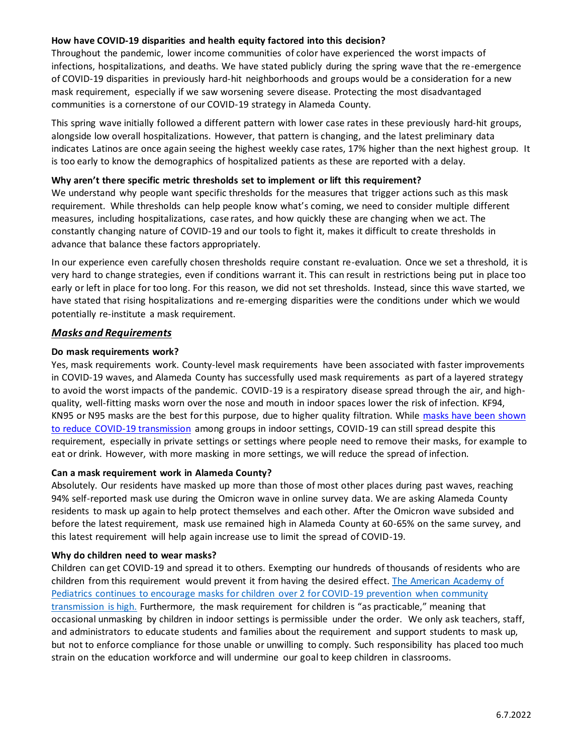### **How have COVID-19 disparities and health equity factored into this decision?**

Throughout the pandemic, lower income communities of color have experienced the worst impacts of infections, hospitalizations, and deaths. We have stated publicly during the spring wave that the re-emergence of COVID-19 disparities in previously hard-hit neighborhoods and groups would be a consideration for a new mask requirement, especially if we saw worsening severe disease. Protecting the most disadvantaged communities is a cornerstone of our COVID-19 strategy in Alameda County.

This spring wave initially followed a different pattern with lower case rates in these previously hard-hit groups, alongside low overall hospitalizations. However, that pattern is changing, and the latest preliminary data indicates Latinos are once again seeing the highest weekly case rates, 17% higher than the next highest group. It is too early to know the demographics of hospitalized patients as these are reported with a delay.

#### **Why aren't there specific metric thresholds set to implement or lift this requirement?**

We understand why people want specific thresholds for the measures that trigger actions such as this mask requirement. While thresholds can help people know what's coming, we need to consider multiple different measures, including hospitalizations, case rates, and how quickly these are changing when we act. The constantly changing nature of COVID-19 and our tools to fight it, makes it difficult to create thresholds in advance that balance these factors appropriately.

In our experience even carefully chosen thresholds require constant re-evaluation. Once we set a threshold, it is very hard to change strategies, even if conditions warrant it. This can result in restrictions being put in place too early or left in place for too long. For this reason, we did not set thresholds. Instead, since this wave started, we have stated that rising hospitalizations and re-emerging disparities were the conditions under which we would potentially re-institute a mask requirement.

### *Masks and Requirements*

#### **Do mask requirements work?**

Yes, mask requirements work. County-level mask requirements have been associated with faster improvements in COVID-19 waves, and Alameda County has successfully used mask requirements as part of a layered strategy to avoid the worst impacts of the pandemic. COVID-19 is a respiratory disease spread through the air, and highquality, well-fitting masks worn over the nose and mouth in indoor spaces lower the risk of infection. KF94, KN95 or N95 masks are the best for this purpose, due to higher quality filtration. While [masks have been shown](https://www.cdc.gov/coronavirus/2019-ncov/science/science-briefs/masking-science-sars-cov2.html#anchor_1634654801820)  [to reduce COVID-19 transmission](https://www.cdc.gov/coronavirus/2019-ncov/science/science-briefs/masking-science-sars-cov2.html#anchor_1634654801820) among groups in indoor settings, COVID-19 can still spread despite this requirement, especially in private settings or settings where people need to remove their masks, for example to eat or drink. However, with more masking in more settings, we will reduce the spread of infection.

#### **Can a mask requirement work in Alameda County?**

Absolutely. Our residents have masked up more than those of most other places during past waves, reaching 94% self-reported mask use during the Omicron wave in online survey data. We are asking Alameda County residents to mask up again to help protect themselves and each other. After the Omicron wave subsided and before the latest requirement, mask use remained high in Alameda County at 60-65% on the same survey, and this latest requirement will help again increase use to limit the spread of COVID-19.

#### **Why do children need to wear masks?**

Children can get COVID-19 and spread it to others. Exempting our hundreds of thousands of residents who are children from this requirement would prevent it from having the desired effect. The American Academy of [Pediatrics continues to encourage masks for children over 2 for COVID-19 prevention when community](https://publications.aap.org/patiented/article/doi/10.1542/ppe_document202/555/Face-Masks-for-Children-During-COVID-19?autologincheck=redirected)  [transmission is high.](https://publications.aap.org/patiented/article/doi/10.1542/ppe_document202/555/Face-Masks-for-Children-During-COVID-19?autologincheck=redirected) Furthermore, the mask requirement for children is "as practicable," meaning that occasional unmasking by children in indoor settings is permissible under the order. We only ask teachers, staff, and administrators to educate students and families about the requirement and support students to mask up, but not to enforce compliance for those unable or unwilling to comply. Such responsibility has placed too much strain on the education workforce and will undermine our goal to keep children in classrooms.